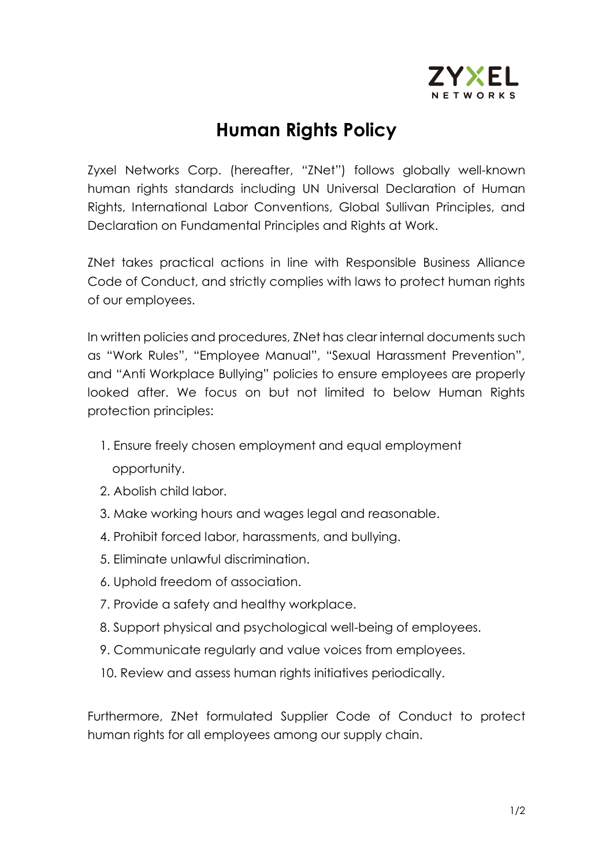

## **Human Rights Policy**

Zyxel Networks Corp. (hereafter, "ZNet") follows globally well-known human rights standards including UN Universal Declaration of Human Rights, International Labor Conventions, Global Sullivan Principles, and Declaration on Fundamental Principles and Rights at Work.

ZNet takes practical actions in line with Responsible Business Alliance Code of Conduct, and strictly complies with laws to protect human rights of our employees.

In written policies and procedures, ZNet has clear internal documents such as "Work Rules", "Employee Manual", "Sexual Harassment Prevention", and "Anti Workplace Bullying" policies to ensure employees are properly looked after. We focus on but not limited to below Human Rights protection principles:

- 1. Ensure freely chosen employment and equal employment opportunity.
- 2. Abolish child labor.
- 3. Make working hours and wages legal and reasonable.
- 4. Prohibit forced labor, harassments, and bullying.
- 5. Eliminate unlawful discrimination.
- 6. Uphold freedom of association.
- 7. Provide a safety and healthy workplace.
- 8. Support physical and psychological well-being of employees.
- 9. Communicate regularly and value voices from employees.
- 10. Review and assess human rights initiatives periodically.

Furthermore, ZNet formulated Supplier Code of Conduct to protect human rights for all employees among our supply chain.